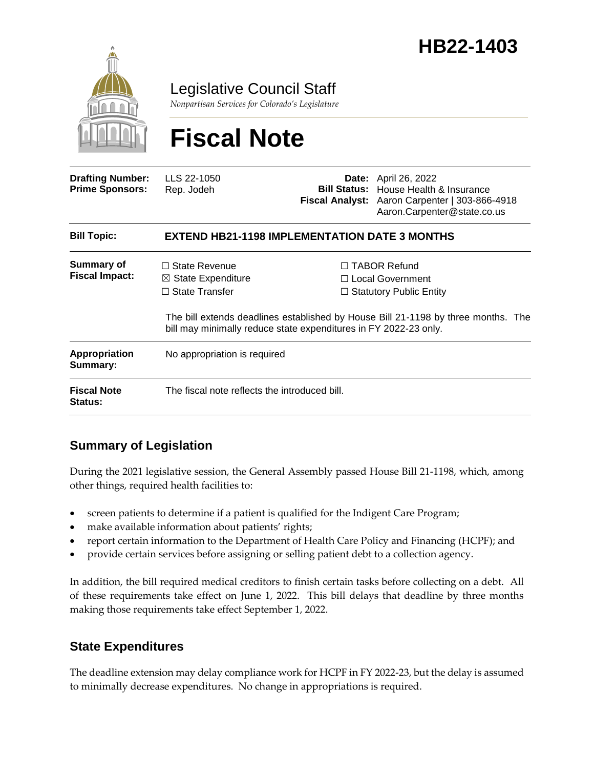

Legislative Council Staff

*Nonpartisan Services for Colorado's Legislature*

# **Fiscal Note**

| <b>Drafting Number:</b><br><b>Prime Sponsors:</b> | LLS 22-1050<br>Rep. Jodeh                                                                                                                                                                                        |  | <b>Date:</b> April 26, 2022<br><b>Bill Status:</b> House Health & Insurance<br>Fiscal Analyst: Aaron Carpenter   303-866-4918<br>Aaron.Carpenter@state.co.us |  |
|---------------------------------------------------|------------------------------------------------------------------------------------------------------------------------------------------------------------------------------------------------------------------|--|--------------------------------------------------------------------------------------------------------------------------------------------------------------|--|
| <b>Bill Topic:</b>                                | <b>EXTEND HB21-1198 IMPLEMENTATION DATE 3 MONTHS</b>                                                                                                                                                             |  |                                                                                                                                                              |  |
| <b>Summary of</b><br><b>Fiscal Impact:</b>        | $\Box$ State Revenue<br>$\boxtimes$ State Expenditure                                                                                                                                                            |  | $\Box$ TABOR Refund<br>□ Local Government                                                                                                                    |  |
|                                                   | $\Box$ State Transfer<br>$\Box$ Statutory Public Entity<br>The bill extends deadlines established by House Bill 21-1198 by three months. The<br>bill may minimally reduce state expenditures in FY 2022-23 only. |  |                                                                                                                                                              |  |
| <b>Appropriation</b><br>Summary:                  | No appropriation is required                                                                                                                                                                                     |  |                                                                                                                                                              |  |
| <b>Fiscal Note</b><br>Status:                     | The fiscal note reflects the introduced bill.                                                                                                                                                                    |  |                                                                                                                                                              |  |

## **Summary of Legislation**

During the 2021 legislative session, the General Assembly passed House Bill 21-1198, which, among other things, required health facilities to:

- screen patients to determine if a patient is qualified for the Indigent Care Program;
- make available information about patients' rights;
- report certain information to the Department of Health Care Policy and Financing (HCPF); and
- provide certain services before assigning or selling patient debt to a collection agency.

In addition, the bill required medical creditors to finish certain tasks before collecting on a debt. All of these requirements take effect on June 1, 2022. This bill delays that deadline by three months making those requirements take effect September 1, 2022.

## **State Expenditures**

The deadline extension may delay compliance work for HCPF in FY 2022-23, but the delay is assumed to minimally decrease expenditures. No change in appropriations is required.